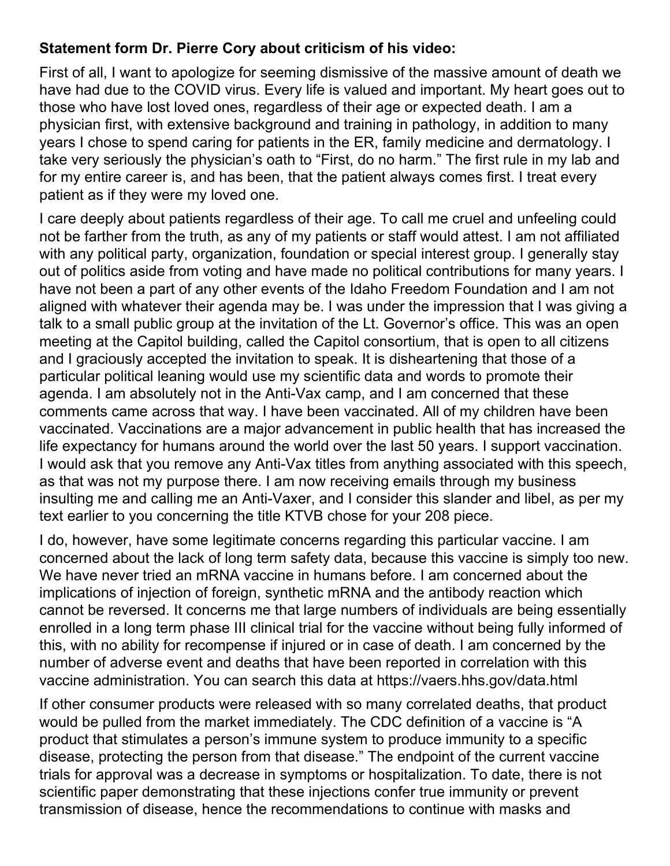# **Statement form Dr. Pierre Cory about criticism of his video:**

First of all, I want to apologize for seeming dismissive of the massive amount of death we have had due to the COVID virus. Every life is valued and important. My heart goes out to those who have lost loved ones, regardless of their age or expected death. I am a physician first, with extensive background and training in pathology, in addition to many years I chose to spend caring for patients in the ER, family medicine and dermatology. I take very seriously the physician's oath to "First, do no harm." The first rule in my lab and for my entire career is, and has been, that the patient always comes first. I treat every patient as if they were my loved one.

I care deeply about patients regardless of their age. To call me cruel and unfeeling could not be farther from the truth, as any of my patients or staff would attest. I am not affiliated with any political party, organization, foundation or special interest group. I generally stay out of politics aside from voting and have made no political contributions for many years. I have not been a part of any other events of the Idaho Freedom Foundation and I am not aligned with whatever their agenda may be. I was under the impression that I was giving a talk to a small public group at the invitation of the Lt. Governor's office. This was an open meeting at the Capitol building, called the Capitol consortium, that is open to all citizens and I graciously accepted the invitation to speak. It is disheartening that those of a particular political leaning would use my scientific data and words to promote their agenda. I am absolutely not in the Anti-Vax camp, and I am concerned that these comments came across that way. I have been vaccinated. All of my children have been vaccinated. Vaccinations are a major advancement in public health that has increased the life expectancy for humans around the world over the last 50 years. I support vaccination. I would ask that you remove any Anti-Vax titles from anything associated with this speech, as that was not my purpose there. I am now receiving emails through my business insulting me and calling me an Anti-Vaxer, and I consider this slander and libel, as per my text earlier to you concerning the title KTVB chose for your 208 piece.

I do, however, have some legitimate concerns regarding this particular vaccine. I am concerned about the lack of long term safety data, because this vaccine is simply too new. We have never tried an mRNA vaccine in humans before. I am concerned about the implications of injection of foreign, synthetic mRNA and the antibody reaction which cannot be reversed. It concerns me that large numbers of individuals are being essentially enrolled in a long term phase III clinical trial for the vaccine without being fully informed of this, with no ability for recompense if injured or in case of death. I am concerned by the number of adverse event and deaths that have been reported in correlation with this vaccine administration. You can search this data at https://vaers.hhs.gov/data.html

If other consumer products were released with so many correlated deaths, that product would be pulled from the market immediately. The CDC definition of a vaccine is "A product that stimulates a person's immune system to produce immunity to a specific disease, protecting the person from that disease." The endpoint of the current vaccine trials for approval was a decrease in symptoms or hospitalization. To date, there is not scientific paper demonstrating that these injections confer true immunity or prevent transmission of disease, hence the recommendations to continue with masks and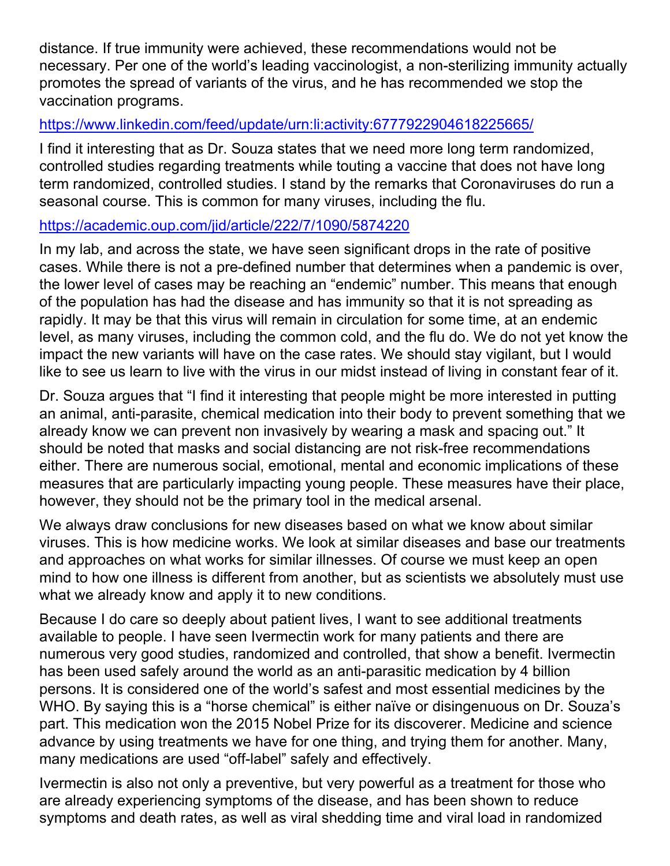distance. If true immunity were achieved, these recommendations would not be necessary. Per one of the world's leading vaccinologist, a non-sterilizing immunity actually promotes the spread of variants of the virus, and he has recommended we stop the vaccination programs.

## https://www.linkedin.com/feed/update/urn:li:activity:6777922904618225665/

I find it interesting that as Dr. Souza states that we need more long term randomized, controlled studies regarding treatments while touting a vaccine that does not have long term randomized, controlled studies. I stand by the remarks that Coronaviruses do run a seasonal course. This is common for many viruses, including the flu.

## https://academic.oup.com/jid/article/222/7/1090/5874220

In my lab, and across the state, we have seen significant drops in the rate of positive cases. While there is not a pre-defined number that determines when a pandemic is over, the lower level of cases may be reaching an "endemic" number. This means that enough of the population has had the disease and has immunity so that it is not spreading as rapidly. It may be that this virus will remain in circulation for some time, at an endemic level, as many viruses, including the common cold, and the flu do. We do not yet know the impact the new variants will have on the case rates. We should stay vigilant, but I would like to see us learn to live with the virus in our midst instead of living in constant fear of it.

Dr. Souza argues that "I find it interesting that people might be more interested in putting an animal, anti-parasite, chemical medication into their body to prevent something that we already know we can prevent non invasively by wearing a mask and spacing out." It should be noted that masks and social distancing are not risk-free recommendations either. There are numerous social, emotional, mental and economic implications of these measures that are particularly impacting young people. These measures have their place, however, they should not be the primary tool in the medical arsenal.

We always draw conclusions for new diseases based on what we know about similar viruses. This is how medicine works. We look at similar diseases and base our treatments and approaches on what works for similar illnesses. Of course we must keep an open mind to how one illness is different from another, but as scientists we absolutely must use what we already know and apply it to new conditions.

Because I do care so deeply about patient lives, I want to see additional treatments available to people. I have seen Ivermectin work for many patients and there are numerous very good studies, randomized and controlled, that show a benefit. Ivermectin has been used safely around the world as an anti-parasitic medication by 4 billion persons. It is considered one of the world's safest and most essential medicines by the WHO. By saying this is a "horse chemical" is either naïve or disingenuous on Dr. Souza's part. This medication won the 2015 Nobel Prize for its discoverer. Medicine and science advance by using treatments we have for one thing, and trying them for another. Many, many medications are used "off-label" safely and effectively.

Ivermectin is also not only a preventive, but very powerful as a treatment for those who are already experiencing symptoms of the disease, and has been shown to reduce symptoms and death rates, as well as viral shedding time and viral load in randomized